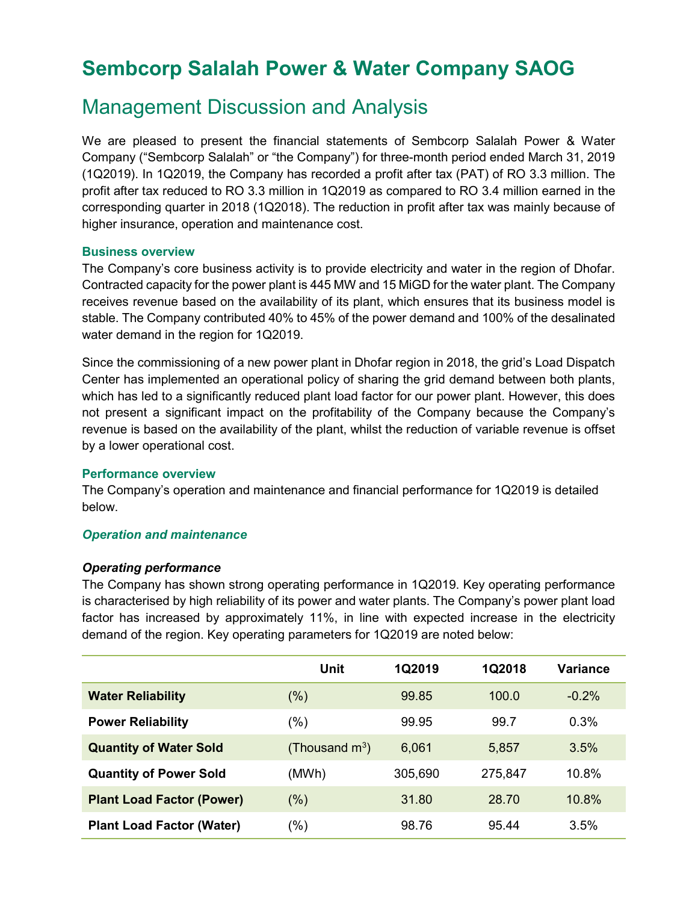# Sembcorp Salalah Power & Water Company SAOG

## Management Discussion and Analysis

We are pleased to present the financial statements of Sembcorp Salalah Power & Water Company ("Sembcorp Salalah" or "the Company") for three-month period ended March 31, 2019 (1Q2019). In 1Q2019, the Company has recorded a profit after tax (PAT) of RO 3.3 million. The profit after tax reduced to RO 3.3 million in 1Q2019 as compared to RO 3.4 million earned in the corresponding quarter in 2018 (1Q2018). The reduction in profit after tax was mainly because of higher insurance, operation and maintenance cost.

### Business overview

The Company's core business activity is to provide electricity and water in the region of Dhofar. Contracted capacity for the power plant is 445 MW and 15 MiGD for the water plant. The Company receives revenue based on the availability of its plant, which ensures that its business model is stable. The Company contributed 40% to 45% of the power demand and 100% of the desalinated water demand in the region for 1Q2019.

Since the commissioning of a new power plant in Dhofar region in 2018, the grid's Load Dispatch Center has implemented an operational policy of sharing the grid demand between both plants, which has led to a significantly reduced plant load factor for our power plant. However, this does not present a significant impact on the profitability of the Company because the Company's revenue is based on the availability of the plant, whilst the reduction of variable revenue is offset by a lower operational cost.

## Performance overview

The Company's operation and maintenance and financial performance for 1Q2019 is detailed below.

## Operation and maintenance

## Operating performance

The Company has shown strong operating performance in 1Q2019. Key operating performance is characterised by high reliability of its power and water plants. The Company's power plant load factor has increased by approximately 11%, in line with expected increase in the electricity demand of the region. Key operating parameters for 1Q2019 are noted below:

|                                  | <b>Unit</b>                | <b>1Q2019</b> | 1Q2018  | Variance |
|----------------------------------|----------------------------|---------------|---------|----------|
| <b>Water Reliability</b>         | $(\%)$                     | 99.85         | 100.0   | $-0.2%$  |
| <b>Power Reliability</b>         | (%)                        | 99.95         | 99.7    | 0.3%     |
| <b>Quantity of Water Sold</b>    | (Thousand $\mathsf{m}^3$ ) | 6,061         | 5,857   | 3.5%     |
| <b>Quantity of Power Sold</b>    | (MWh)                      | 305,690       | 275,847 | 10.8%    |
| <b>Plant Load Factor (Power)</b> | $(\%)$                     | 31.80         | 28.70   | $10.8\%$ |
| <b>Plant Load Factor (Water)</b> | '%)                        | 98.76         | 95.44   | 3.5%     |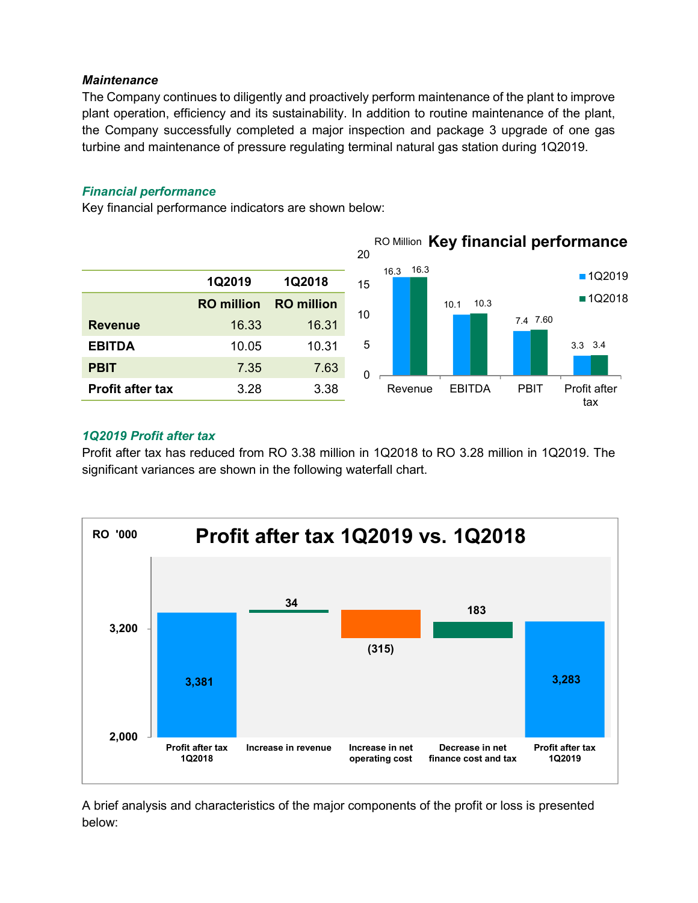## **Maintenance**

## Financial performance

| plant operation, efficiency and its sustainability. In addition to routine maintenance of the plant,<br>the Company successfully completed a major inspection and package 3 upgrade of one gas<br>turbine and maintenance of pressure regulating terminal natural gas station during 1Q2019. | The Company continues to diligently and proactively perform maintenance of the plant to improve |                             |          |           |               |             |                                      |
|----------------------------------------------------------------------------------------------------------------------------------------------------------------------------------------------------------------------------------------------------------------------------------------------|-------------------------------------------------------------------------------------------------|-----------------------------|----------|-----------|---------------|-------------|--------------------------------------|
| <b>Financial performance</b><br>Key financial performance indicators are shown below:                                                                                                                                                                                                        |                                                                                                 |                             |          |           |               |             | RO Million Key financial performance |
|                                                                                                                                                                                                                                                                                              |                                                                                                 |                             | 20       | 16.3 16.3 |               |             | <b>1Q2019</b>                        |
|                                                                                                                                                                                                                                                                                              | 1Q2019<br><b>RO</b> million                                                                     | 1Q2018<br><b>RO</b> million | 15       |           | 10.3<br>10.1  |             | ■1Q2018                              |
| <b>Revenue</b>                                                                                                                                                                                                                                                                               | 16.33                                                                                           | 16.31                       | 10       |           |               | 7.4 7.60    |                                      |
| <b>EBITDA</b>                                                                                                                                                                                                                                                                                | 10.05                                                                                           | 10.31                       | 5        |           |               |             | 3.3 3.4                              |
| <b>PBIT</b>                                                                                                                                                                                                                                                                                  | 7.35                                                                                            | 7.63                        | $\Omega$ |           |               |             |                                      |
| <b>Profit after tax</b>                                                                                                                                                                                                                                                                      | 3.28                                                                                            | 3.38                        |          | Revenue   | <b>EBITDA</b> | <b>PBIT</b> | Profit after<br>tax                  |

## 1Q2019 Profit after tax

Profit after tax has reduced from RO 3.38 million in 1Q2018 to RO 3.28 million in 1Q2019. The significant variances are shown in the following waterfall chart.



A brief analysis and characteristics of the major components of the profit or loss is presented below: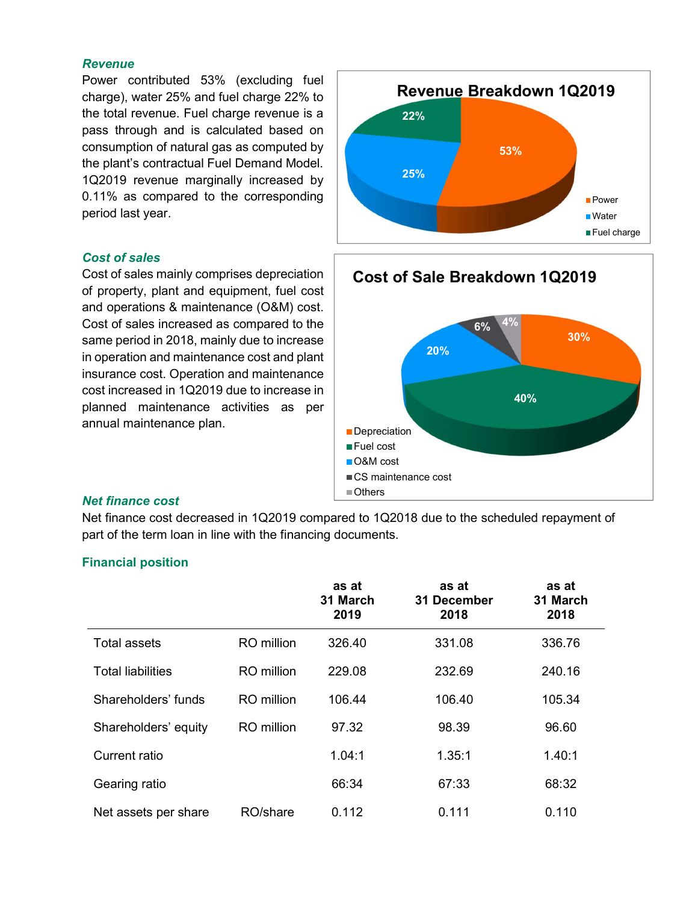#### **Revenue**

Power contributed 53% (excluding fuel charge), water 25% and fuel charge 22% to the total revenue. Fuel charge revenue is a pass through and is calculated based on consumption of natural gas as computed by the plant's contractual Fuel Demand Model. 1Q2019 revenue marginally increased by 0.11% as compared to the corresponding period last year.

### Cost of sales

Cost of sales mainly comprises depreciation of property, plant and equipment, fuel cost and operations & maintenance (O&M) cost. Cost of sales increased as compared to the same period in 2018, mainly due to increase in operation and maintenance cost and plant insurance cost. Operation and maintenance cost increased in 1Q2019 due to increase in planned maintenance activities as per annual maintenance plan.





#### Net finance cost

Net finance cost decreased in 1Q2019 compared to 1Q2018 due to the scheduled repayment of part of the term loan in line with the financing documents.

|                          |                   | as at<br>31 March<br>2019 | as at<br>31 December<br>2018 | as at<br>31 March<br>2018 |
|--------------------------|-------------------|---------------------------|------------------------------|---------------------------|
| <b>Total assets</b>      | <b>RO</b> million | 326.40                    | 331.08                       | 336.76                    |
| <b>Total liabilities</b> | <b>RO</b> million | 229.08                    | 232.69                       | 240.16                    |
| Shareholders' funds      | <b>RO</b> million | 106.44                    | 106.40                       | 105.34                    |
| Shareholders' equity     | RO million        | 97.32                     | 98.39                        | 96.60                     |
| <b>Current ratio</b>     |                   | 1.04:1                    | 1.35:1                       | 1.40:1                    |
| Gearing ratio            |                   | 66:34                     | 67:33                        | 68:32                     |
| Net assets per share     | RO/share          | 0.112                     | 0.111                        | 0.110                     |

#### Financial position